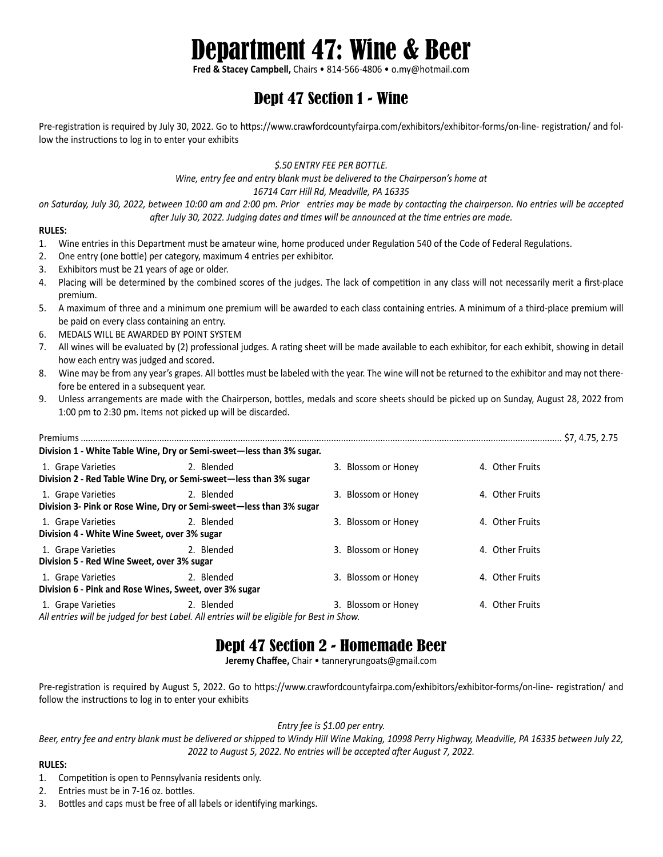# Department 47: Wine & Beer

**Fred & Stacey Campbell,** Chairs • 814-566-4806 • o.my@hotmail.com

## Dept 47 Section 1 - Wine

Pre-registration is required by July 30, 2022. Go to https://www.crawfordcountyfairpa.com/exhibitors/exhibitor-forms/on-line- registration/ and follow the instructions to log in to enter your exhibits

#### *\$.50 ENTRY FEE PER BOTTLE.*

*Wine, entry fee and entry blank must be delivered to the Chairperson's home at*

*16714 Carr Hill Rd, Meadville, PA 16335*

*on Saturday, July 30, 2022, between 10:00 am and 2:00 pm. Prior entries may be made by contacting the chairperson. No entries will be accepted after July 30, 2022. Judging dates and times will be announced at the time entries are made.*

#### **RULES:**

- 1. Wine entries in this Department must be amateur wine, home produced under Regulation 540 of the Code of Federal Regulations.
- 2. One entry (one bottle) per category, maximum 4 entries per exhibitor.
- 3. Exhibitors must be 21 years of age or older.
- 4. Placing will be determined by the combined scores of the judges. The lack of competition in any class will not necessarily merit a first-place premium.
- 5. A maximum of three and a minimum one premium will be awarded to each class containing entries. A minimum of a third-place premium will be paid on every class containing an entry.
- 6. MEDALS WILL BE AWARDED BY POINT SYSTEM
- 7. All wines will be evaluated by (2) professional judges. A rating sheet will be made available to each exhibitor, for each exhibit, showing in detail how each entry was judged and scored.
- 8. Wine may be from any year's grapes. All bottles must be labeled with the year. The wine will not be returned to the exhibitor and may not therefore be entered in a subsequent year.
- 9. Unless arrangements are made with the Chairperson, bottles, medals and score sheets should be picked up on Sunday, August 28, 2022 from 1:00 pm to 2:30 pm. Items not picked up will be discarded.

|                                                                                         | Division 1 - White Table Wine, Dry or Semi-sweet—less than 3% sugar.                                    |                     |                 |
|-----------------------------------------------------------------------------------------|---------------------------------------------------------------------------------------------------------|---------------------|-----------------|
| 1. Grape Varieties<br>Division 2 - Red Table Wine Dry, or Semi-sweet-less than 3% sugar | 2. Blended                                                                                              | 3. Blossom or Honey | 4. Other Fruits |
| 1. Grape Varieties                                                                      | 2. Blended<br>Division 3- Pink or Rose Wine, Dry or Semi-sweet-less than 3% sugar                       | 3. Blossom or Honey | 4. Other Fruits |
| 1. Grape Varieties<br>Division 4 - White Wine Sweet, over 3% sugar                      | 2. Blended                                                                                              | 3. Blossom or Honey | 4. Other Fruits |
| 1. Grape Varieties<br>Division 5 - Red Wine Sweet, over 3% sugar                        | 2. Blended                                                                                              | 3. Blossom or Honey | 4. Other Fruits |
| 1. Grape Varieties<br>Division 6 - Pink and Rose Wines, Sweet, over 3% sugar            | 2. Blended                                                                                              | 3. Blossom or Honey | 4. Other Fruits |
| 1. Grape Varieties                                                                      | 2. Blended<br>All entries will be judged for best Label. All entries will be eligible for Best in Show. | 3. Blossom or Honey | 4. Other Fruits |

### Dept 47 Section 2 - Homemade Beer

**Jeremy Chaffee,** Chair • tanneryrungoats@gmail.com

Pre-registration is required by August 5, 2022. Go to https://www.crawfordcountyfairpa.com/exhibitors/exhibitor-forms/on-line- registration/ and follow the instructions to log in to enter your exhibits

### *Entry fee is \$1.00 per entry.*

*Beer, entry fee and entry blank must be delivered or shipped to Windy Hill Wine Making, 10998 Perry Highway, Meadville, PA 16335 between July 22, 2022 to August 5, 2022. No entries will be accepted after August 7, 2022.*

### **RULES:**

- 1. Competition is open to Pennsylvania residents only.
- 2. Entries must be in 7-16 oz. bottles.
- 3. Bottles and caps must be free of all labels or identifying markings.